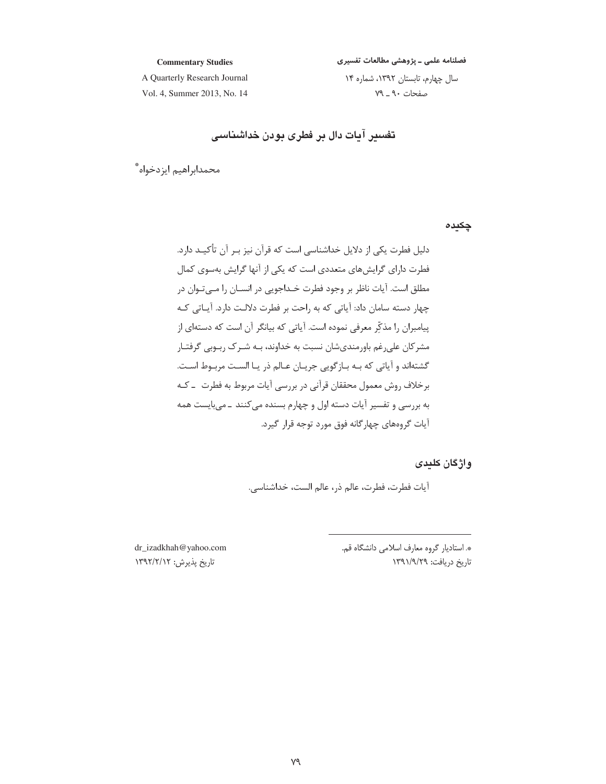فصلنامه علمی ــ پژوهشی مطالعات تفسیری

A Quarterly Research Journal Vol. 4, Summer 2013, No. 14

**Commentary Studies**

سال چهارم، تابستان ۱۳۹۲، شماره ۱۴ صفحات ۹۰ ــ ۷۹

**ت**فسیر آیات دال بر فطری بودن خداشناسی

محمدابراهيم ايزدخواه \*\*

چکید*ه* 

] D3a10ND/0N+3@-A! TQt%-XC-Q S3&+U?N%-X+3@ ,
(U?C- 0&D1-D
0DB-& DTC-&"pCN]@^ +D3-1DN]@DtC-@'++3-1Ni0
+,H %+,+3@0N\$+3-1N]@#&-s3W 0<
\* D,-?-&DD!+DF " T+@<B0! A
"4\- 03 ]@D&D
@DBD4D 0D-&?%D+D+3-1N" +,? +D3D C-+&
CN--N0VV
S&
K"52T +(@B-D AA3-# ABGH"S"+,CNB1"-+ ]?+&1&
d&-+?H(#"?CN

**واژگان کلیدی** 

آيات فطرت، فطرت، عالم نر، عالم الست، خداشناسي.

\* استاديار گروه معارف اسلامي دانشگاه قم. اریخ دریافت: ۱۳۹۱/۹/۲۹ N

dr\_izadkhah@yahoo.com تاريخ پذيرش: ١٣٩٢/٢/١٢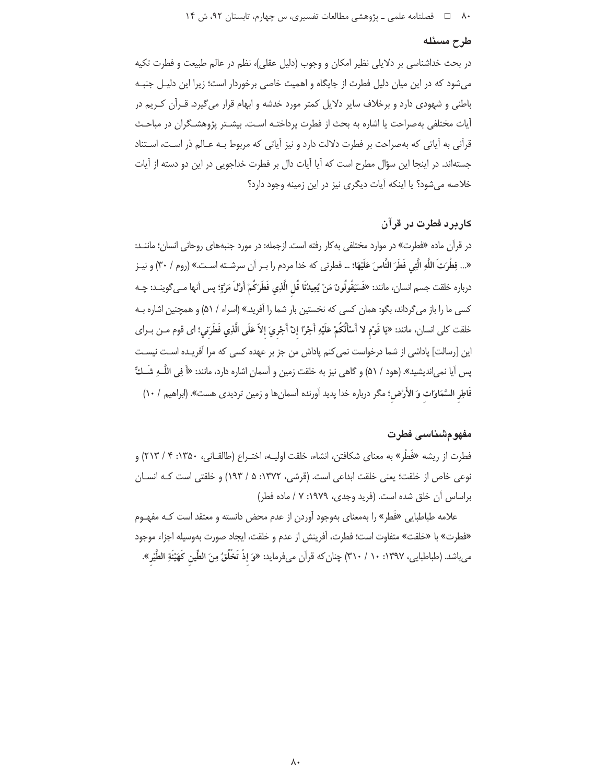#### طرح مسئله

در بحث خداشناسی بر دلایلی نظیر امکان و وجوب (دلیل عقلی)، نظم در عالم طبیعت و فطرت تکیه میشود که در این میان دلیل فطرت از جایگاه و اهمیت خاصی برخوردار است؛ زیرا این دلیـل جنبـه باطنی و شهودی دارد و برخلاف سایر دلایل کمتر مورد خدشه و ابهام قرار می گیرد. قــرآن کــریم در آيات مختلفي بهصراحت يا اشاره به بحث از فطرت پرداختـه اسـت. بيشـتر پژوهشـگران در مباحـث قرأنی به آیاتی که بهصراحت بر فطرت دلالت دارد و نیز آیاتی که مربوط بـه عـالم ذر اسـت، اسـتناد جستهاند. در اینجا این سؤال مطرح است که آیا آیات دال بر فطرت خداجویی در این دو دسته از آیات خلاصه می شود؟ یا اینکه آیات دیگری نیز در این زمینه وجود دارد؟

# کارپر د فطرت در قرآن

در قرآن ماده «فطرت» در موارد مختلفی به کار رفته است. ازجمله: در مورد جنبههای روحانی انسان؛ ماننـد: «... فِطْرَتَ اللَّهِ الَّتِي فَطَرَ النَّاسَ عَلَيْهَا؛ … فطرتي كه خدا مردم را بـر آن سرشـته اسـت.» (روم / ٣٠) و نيـز درباره خلقت جسم انسان، مانند: «فَسَيَقُولُونَ مَنْ يُعِيدُنَا قُل الَّذِي فَطَرَكُمْ أَوَّلَ مَرَّةٍ؛ پس آنها مـي\$وينــد: چـه کسی ما را باز می گرداند، بگو: همان کسی که نخستین بار شما را آفرید.» (اسراء / ۵۱) و همچنین اشاره بـه خلقت كلى انسان، مانند: «يَا قَوْم لا أَسْأَلْكُمْ عَلَيْهِ أَجْرًا إنْ أَجْرِيَ إلاّ عَلَى الَّذِي فَطَرَنى؛ اى قوم مـن بــراى این [رسالت] یاداشی از شما درخواست نمی کنم یاداش من جز بر عهده کسی که مرا آفریـده اسـت نیسـت پس آيا نمي|نديشيد». (هود / ۵۱) و گاهي نيز به خلقت زمين و آسمان اشاره دارد، مانند: «أَ فِي اللَّــهِ شَــكٌّ فَاطِر السَّمَاوَات وَ الأَرْضِ؛ مگر درباره خدا پدید اَورنده اَسمانها و زمین تردیدی هست». (ابراهیم / ۱۰)

### مفهومشناسي فطرت

فطرت از ریشه «فَطْر» به معنای شکافتن، انشاء، خلقت اولیــه، اختــراع (طالقــانی، ۱۳۵۰: ۴ / ۲۱۳) و نوعي خاص از خلقت؛ يعني خلقت ابداعي است. (قرشي، ١٣٧٢: ۵ / ١٩٣) و خلقتي است كـه انســان براساس آن خلق شده است. (فرید وجدی، ۱۹۷۹: ۷/ ماده فطر)

علامه طباطبایی «فَطر» را بهمعنای بهوجود آوردن از عدم محض دانسته و معتقد است کـه مفهـوم «فطرت» با «خلقت» متفاوت است؛ فطرت، أفرينش از عدم و خلقت، ايجاد صورت بهوسيله اجزاء موجود مىباشد. (طباطبايي، ١٣٩٧: ١٠ / ٣١٠) چنان كه قرآن مىفرمايد: «وَ إذْ تَخْلُقُ مِنَ الطِّين كَهَيْنَةِ الطَّيْرِ».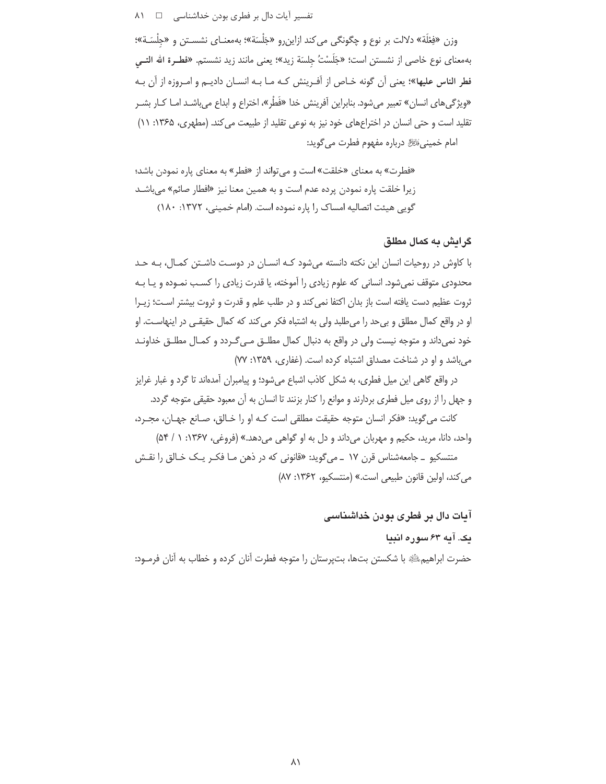تفسیر آیات دال بر فطری بودن خداشناسی □ A۱

وزن «فِعْلَة» دلالت بر نوع و چگونگی می کند ازاین٫و «جَلْسَة»؛ بهمعنــای نشســتن و «جلْسَــة»؛ بهمعناى نوع خاصى از نشستن است؛ «جَلَسْتُ جلسَة زيد»؛ يعنى مانند زيد نشستم. «فطـرة الله التــي فطر الناس عليها»؛ يعني أن گونه خـاص از أفـرينش كـه مـا بـه انسـان داديـم و امـروزه از أن بـه «ویژگیهای انسان» تعبیر میشود. بنابراین آفرینش خدا «فَطْر»، اختراع و ابداع میباشـد امـا کـار بشــر تقلید است و حتی انسان در اختراعهای خود نیز به نوعی تقلید از طبیعت می کند. (مطهری، ۱۳۶۵: ۱۱) امام خميني َنَتَيَّ درباره مفهوم فطرت مي گويد:

«فطرت» به معنای «خلقت» است و می تواند از «فطر» به معنای یاره نمودن باشد؛ زیرا خلقت پاره نمودن پرده عدم است و به همین معنا نیز «افطار صائم» میباشـد گویی هیئت اتصالیه امساک را پاره نموده است. (امام خمینی، ۱۳۷۲: ۱۸۰)

گرايش په کمال مطلق

با کاوش در روحیات انسان این نکته دانسته می شود کـه انســان در دوسـت داشــتن کمـال، بـه حـد محدودی متوقف نمی شود. انسانی که علوم زیادی را آموخته، یا قدرت زیادی را کسب نمـوده و یـا بـه ثروت عظیم دست یافته است باز بدان اکتفا نمی کند و در طلب علم و قدرت و ثروت بیشتر اسـت؛ زیـرا او در واقع كمال مطلق و بى حد را مى طلبد ولى به اشتباه فكر مى كند كه كمال حقيقى در اينهاست. او خود نمیداند و متوجه نیست ولی در واقع به دنبال کمال مطلـق مـی گـردد و کمـال مطلـق خداونـد می باشد و او در شناخت مصداق اشتباه کرده است. (غفاری، ۱۳۵۹: ۷۷)

در واقع گاهی این میل فطری، به شکل کاذب اشباع میشود؛ و پیامبران آمدهاند تا گرد و غبار غرایز و جهل را از روی میل فطری بردارند و موانع را کنار بزنند تا انسان به آن معبود حقیقی متوجه گردد.

کانت می گوید: «فکر انسان متوجه حقیقت مطلقی است کـه او را خـالق، صـانع جهـان، مجـرد،

واحد، دانا، مرید، حکیم و مهربان میداند و دل به او گواهی میدهد.» (فروغی، ۱۳۶۷: ۱ / ۵۴) منتسکیو ۔ جامعهشناس قرن ۱۷ ۔می گوید: «قانونی که در ذهن مـا فکـر یـک خـالق را نقـش می کند، اولین قانون طبیعی است.» (منتسکیو، ۱۳۶۲: ۸۷)

#### آمات دال بر فطری پودن خداشناسی

## دی. آیه ۶۳ سوره انبیا

حضرت ابراهیمﷺ با شکستن بتها، بتیرستان را متوجه فطرت آنان کرده و خطاب به آنان فرمـود: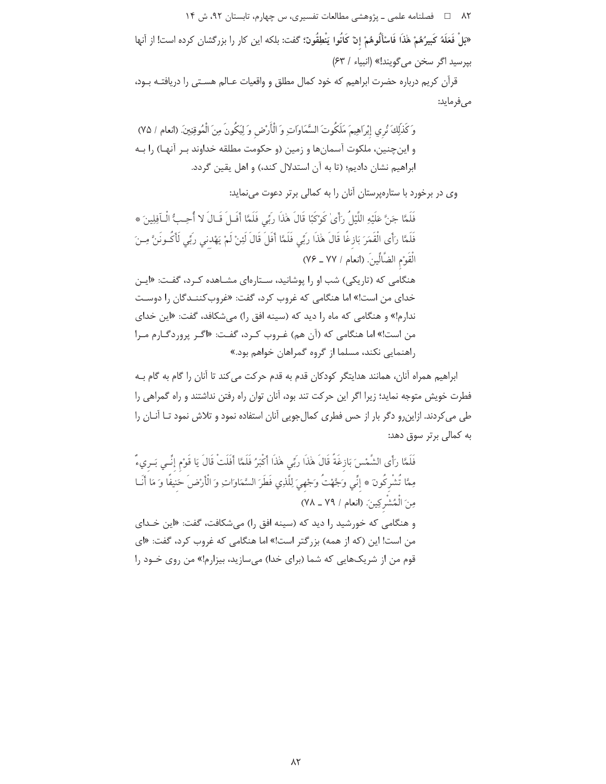۸۲ □ فصلنامه علمی ـ پژوهشی مطالعات تفسیری، س چهارم، تابستان ۹۲، ش ۱۴ «بَلْ فَعَلَهُ كَبِيرُهُمْ هَٰذَا فَاسْأَلُوهُمْ إِنْ كَانُوا يَنْطِقُونَ؛ گفت: بلكه اين كار را بزرگشان كرده است! از أنها بپرسيد اگر سخن مي گويند!» (انبياء / ۶۳) قرآن کریم درباره حضرت ابراهیم که خود کمال مطلق و واقعیات عـالم هسـتی را دریافتـه بــود، مے فرماید:

وَكَذَلِكَ نُرِي إِبْرَاهِيمَ مَلَكُوتَ السَّمَاوَاتِ وَ الْأَرْضِ وَ لِيَكُونَ مِنَ الْمُوقِنِينَ. (انعام / ٧۵) و اینچنین، ملکوت آسمانها و زمین (و حکومت مطلقه خداوند بـر آنهـا) را بـه ابراهیم نشان دادیم؛ (تا به آن استدلال کند،) و اهل یقین گردد.

وی در برخورد با ستارهپرستان آنان را به کمالی برتر دعوت مینماید:

فَلَمَّا جَنَّ عَلَيْهِ اللَّيْلُ رَأَىٰ كَوْكَبًا قَالَ هٰذَا رَبِّي فَلَمَّا أَفَـلَ قَـالَ لا أُحِـبُّ الْـآفِلِينَ \* فَلَمَّا رَأَى الْقَمَرَ بَازِغًا قَالَ هَٰذَا رَبِّي فَلَمَّا أَفَلَ قَالَ لَئِنْ لَمْ يَهْدني رَبِّي لَأَكُونَنَّ مِـنَ الْقَوْمِ الضَّالِّينَ. (انعام / ٧٧ ـ ٧۶) هنگامی که (تاریکی) شب او را پوشانید، سـتارهای مشـاهده کـرد، گفـت: «ایـن خدای من است!» اما هنگامی که غروب کرد، گفت: «غروبکننـدگان ,ا دوسـت ندارم!» و هنگامی که ماه را دید که (سینه افق را) می شکافد، گفت: «این خدای من است!» اما هنگامی که (آن هم) غـروب کـرد، گفـت: «اگـر پروردگـارم مـرا راهنمایی نکند، مسلما از گروه گمراهان خواهم بود.»

ابراهیم همراه آنان، همانند هدایتگر کودکان قدم به قدم حرکت می کند تا آنان را گام به گام بـه فطرت خویش متوجه نماید؛ زیرا اگر این حرکت تند بود، آنان توان راه رفتن نداشتند و راه گمراهی را طی می کردند. ازاین٫و دگر بار از حس فطری کمالِ جویی آنان استفاده نمود و تلاش نمود تـا آنـان را به کمالی برتر سوق دهد:

فَلَمَّا رَأَى الشَّمْسَ بَازِغَةً قَالَ هٰذَا رَبِّي هٰذَا أَكْبَرُ فَلَمَّا أَفَلَتْ قَالَ يَا قَوْم إنِّـي بَـريءٌ مِمَّا تُشْرِكُونَ ۞ إنِّي وَجَّهْتُ وَجْهِيَ لِلَّذِي فَطَرَ السَّمَاوَاتِ وَ الْأَرْضِ حَنيفًا وَ مَا أَنَــا مِنَ الْمُشْرِكِينَ. (انعام / ٧٩ ـ ٧٨) و هنگامی که خورشید را دید که (سینه افق را) می شکافت، گفت: «این خـدای من است! این (که از همه) بزرگتر است!» اما هنگامی که غروب کرد، گفت: «ای قوم من از شریکهایی که شما (برای خدا) میسازید، بیزارم!» من روی خـود را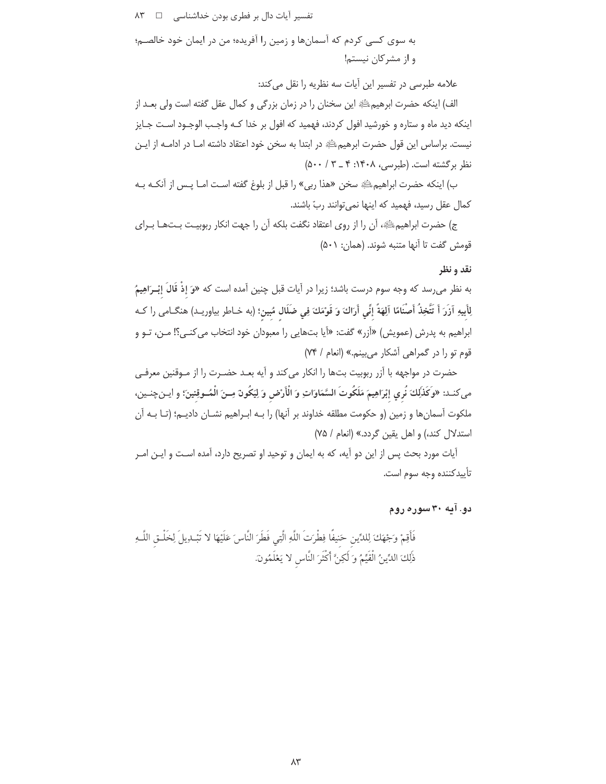تفسیر آیات دال بر فطری بودن خداشناسی D X۳

به سوی کسی کردم که آسمانها و زمین را آفریده؛ من در ایمان خود خالصـم؛ و از مشرکان نیستم!

علامه طبرسی در تفسیر این آیات سه نظریه را نقل می کند:

الف) اینکه حضرت ابرهیمﷺ این سخنان را در زمان بزرگی و کمال عقل گفته است ولی بعـد از اینکه دید ماه و ستاره و خورشید افول کردند، فهمید که افول بر خدا کـه واجـب الوجـود اسـت جـایز نيست. براساس اين قول حضرت ابرهيمِ ﷺ در ابتدا به سخن خود اعتقاد داشته امـا در ادامــه از ايــن نظر بر گشته است. (طبرسی، ۱۴۰۸: ۴ \_ ۵۰۰ / ۵۰۰)

ب) اینکه حضرت ابراهیمﷺ سخن «هذا ربی» را قبل از بلوغ گفته است امـا یـس از آنکـه بـه كمال عقل رسيد، فهميد كه اينها نمي توانند ربّ باشند.

ج) حضرت ابراهيمﷺ، أن را از روى اعتقاد نگفت بلكه أن را جهت انكار ربوبيت بـتهـا بـراي قومش گفت تا آنها متنبه شوند. (همان: ۵۰۱)

### نقد و نظر

به نظر می٫سد که وجه سوم درست باشد؛ زیرا در آیات قبل چنین آمده است که «وَ إذْ قَالَ إِبْــرَاهِیـمُ لِلَّهِيهِ آزَرَ أَ تَتَّخِذُ أَصْنَامًا آلِهَةً إنِّي أَرَاكَ وَ قَوْمَكَ فِي ضَلَالٍ مُبين؛ (به خـاطر بياوريـد) هنگــامي را كــه ابراهيم به پدرش (عمويش) «آزر» گفت: «آيا بتهايي را معبودان خود انتخاب مي كنـي؟! مـن، تـو و قوم تو را در گمراهی آشکار می بینم.» (انعام / ۷۴)

حضرت در مواجهه با آزر ربوبیت بتها را انکار می کند و آیه بعـد حضـرت را از مـوقنین معرفـی مى كنـد: «وَكَذَلِكَ نُرى إبْرَاهِيمَ مَلَكُوتَ السَّمَاوَاتِ وَ الْأَرْضِ وَ لِيَكُونَ مِـنَ الْمُـوقِنينَ؛ و ايـن چنـين، ملکوت آسمانها و زمین (و حکومت مطلقه خداوند بر آنها) را بـه ابـراهیم نشـان دادیـم؛ (تـا بـه آن استدلال کند،) و اهل یقین گردد.» (انعام / ۷۵)

آيات مورد بحث پس از اين دو آيه، كه به ايمان و توحيد او تصريح دارد، آمده است و ايـن امـر تأييدكننده وجه سوم است.

### دو. آیه ۳۰ سوره روم

فَأَقِمْ وَجْهَكَ لِلدِّينِ حَنيفًا فِطْرَتَ اللَّهِ الَّتِي فَطَرَ النَّاسَ عَلَيْهَا لا تَبْـدِيلَ لِخَلْـقِ اللَّـهِ ذَٰلِكَ الدِّينُ الْقَيِّمُ وَ لَكِنَّ أَكْثَرَ النَّاسِ لا يَعْلَمُونَ.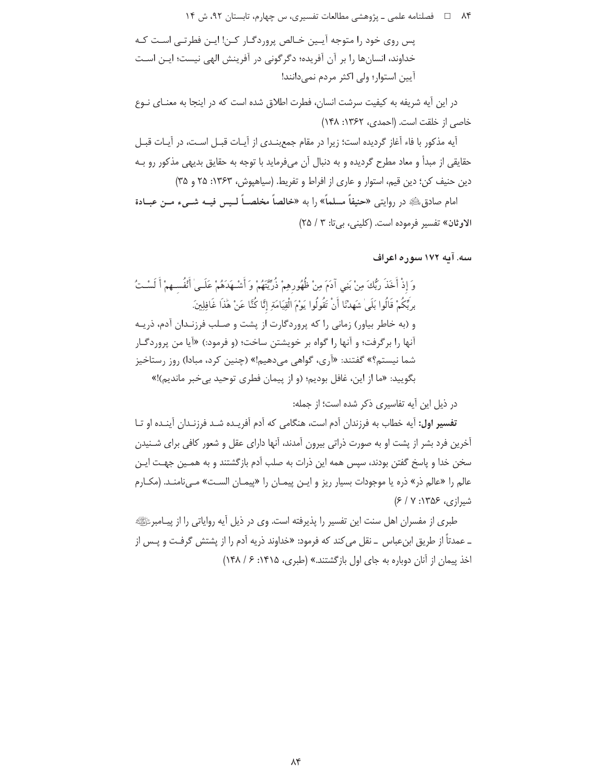پس روی خود را متوجه آیـین خـالص پروردگـار کـن! ایـن فطرتـی اسـت کـه خداوند، انسانها را بر آن آفریده؛ دگرگونی در آفرینش الهی نیست؛ ایـن اسـت آیین استوار؛ ولی اکثر مردم نمی دانند!

در این آیه شریفه به کیفیت سرشت انسان، فطرت اطلاق شده است که در اینجا به معنـای نـوع خاصي از خلقت است. (احمدي، ١٣۶٢: ١۴٨)

آيه مذكور با فاء آغاز گرديده است؛ زيرا در مقام جمع بنـدى از آيـات قبـل اسـت، در آيـات قبـل حقایقی از مبدأ و معاد مطرح گردیده و به دنبال آن میفرماید با توجه به حقایق بدیهی مذکور رو بـه دين حنيف كن؛ دين قيم، استوار و عاري از افراط و تفريط. (سياهيوش، ١٣۶٣: ٢۵ و ٣۵)

امام صادقﷺ در روايتي «حنيفاً مسلماً» را به «خالصاً مخلصــاً لــيس فيــه شــيء مــن عبــادة الاوثان» تفسير فرموده است. (كليني، بي تا: ٣ / ٢٥)

سه. آمه ۱۷۲ سوره اعراف

وَ إِذْ أَخَذَ رَبُّكَ مِنْ بَنِي آدَمَ مِنْ ظُهُورِهِمْ ذُرِّيَّتَهُمْ وَ أَشْـهَدَهُمْ عَلَــىٰ أَنْفُسـهمْ أَ لَسْـتُ بِرِبِّكُمْ قَالُوا بَلَىٰ شَهِدْنَا أَنْ تَقُولُوا يَوْمَ الْقِيَامَةِ إِنَّا كُنَّا عَنْ هَٰذَا غَافِلِينَ. و (به خاطر بیاور) زمانی را که پروردگارت از پشت و صـلب فرزنـدان آدم، ذریـه آنها را برگرفت؛ و آنها را گواه بر خویشتن ساخت؛ (و فرمود:) «آیا من پروردگــار شما نیستم؟» گفتند: «آری، گواهی میدهیم!» (چنین کرد، مبادا) روز رستاخیز بگوييد: «ما از اين، غافل بوديم؛ (و از پيمان فطري توحيد بي خبر مانديم)!»

در ذیل این آیه تفاسیری ذکر شده است؛ از جمله:

**تفسیر اول:** آیه خطاب به فرزندان آدم است، هنگامی که آدم آفریـده شـد فرزنـدان آینـده او تـا آخرین فرد بشر از پشت او به صورت ذراتی بیرون آمدند، آنها دارای عقل و شعور کافی برای شــنیدن سخن خدا و پاسخ گفتن بودند، سپس همه این ذرات به صلب آدم بازگشتند و به همـین جهـت ایـن عالم را «عالم ذر» ذره يا موجودات بسيار ريز و ايـن پيمـان را «پيمـان السـت» مـىiامنـد. (مكـارم شیرازی، ۱۳۵۶: ۷/ ۶/

طبري از مفسران اهل سنت اين تفسير را يذيرفته است. وي در ذيل آيه رواياتي را از پيـامبرﷺ \_ عمدتاً از طریق ابن،عباس \_ نقل می کند که فرمود: «خداوند ذریه آدم را از پشتش گرفت و پـس از اخذ پیمان از آنان دوباره به جای اول بازگشتند.» (طبری، ۱۴۱۵: ۶/ ۱۴۸)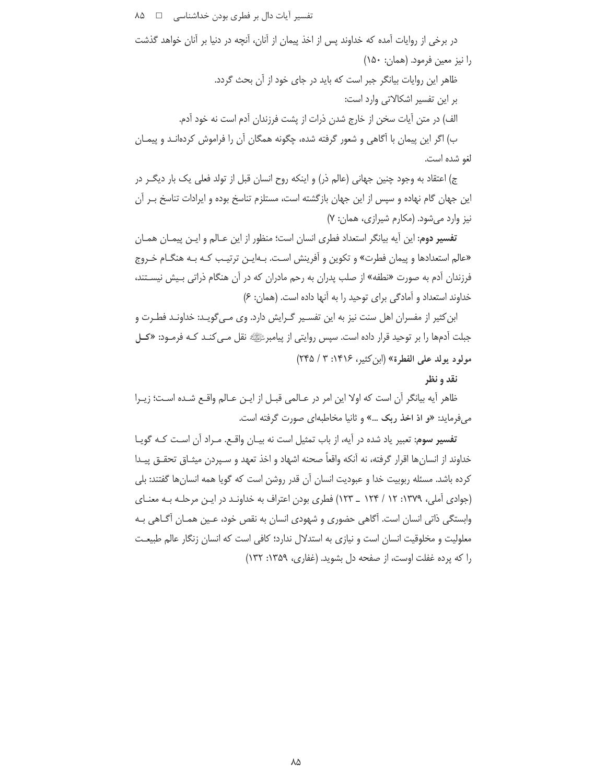تفسیر آیات دال بر فطری بودن خداشناسی □ A۵ در برخی از روایات آمده که خداوند پس از اخذ پیمان از آنان، آنچه در دنیا بر آنان خواهد گذشت را نيز معين فرمود. (همان: ١۵٠) ظاهر این روایات بیانگر جبر است که باید در جای خود از آن بحث گردد. بر این تفسیر اشکالاتی وارد است: الف) در متن آيات سخن از خارج شدن ذرات از پشت فرزندان آدم است نه خود آدم. ب) اگر این پیمان با آگاهی و شعور گرفته شده، چگونه همگان آن را فراموش کردهانـد و پیمـان لغو شده است.

ج) اعتقاد به وجود چنین جهانی (عالم ذر) و اینکه روح انسان قبل از تولد فعلی یک بار دیگـر در این جهان گام نهاده و سپس از این جهان بازگشته است، مستلزم تناسخ بوده و ایرادات تناسخ بـر آن نیز وارد می شود. (مکارم شیرازی، همان: ۷)

تفسير دوم: اين آيه بيانگر استعداد فطرى انسان است؛ منظور از اين عـالم و ايـن پيمـان همـان «عالم استعدادها و پیمان فطرت» و تکوین و آفرینش است. بـهایـن ترتیـب کـه بـه هنگـام خـروج فرزندان آدم به صورت «نطفه» از صلب پدران به رحم مادران که در آن هنگام ذراتی بـیش نیسـتند، خداوند استعداد و آمادگی برای توحید را به آنها داده است. (همان: ۶)

ابن کثیر از مفسران اهل سنت نیز به این تفسـیر گـرایش دارد. وی مـی گویـد: خداونـد فطـرت و جبلت آدمها را بر توحید قرار داده است. سپس روایتی از پیامبرﷺ نقل مـی کنـد کـه فرمـود: «کـل مولود يولد على الفطرة» (ابن كثير، ١٤١۶: ٣ / ٢٤٥)

نقد و نظر

ظاهر آيه بيانگر آن است كه اولا اين امر در عـالمي قبـل از ايـن عـالم واقـع شـده اسـت؛ زيـرا می فرماید: «و اذ اخذ ربک ...» و ثانیا مخاطبهای صورت گرفته است.

تفسیر سوم: تعبیر یاد شده در آیه، از باب تمثیل است نه بیـان واقـع. مـراد آن اسـت كـه گویـا خداوند از انسان ها اقرار گرفته، نه آنکه واقعاً صحنه اشهاد و اخذ تعهد و سـيردن ميثـاق تحقــق پيــدا كرده باشد. مسئله ربوبيت خدا و عبوديت انسان آن قدر روشن است كه گويا همه انسان ها گفتند: بلي (جوادی آملی، ۱۳۷۹: ۱۲ / ۱۲۴ \_ ۱۲۳) فطری بودن اعتراف به خداونـد در ایـن مرحلـه بـه معنـای وابستگی ذاتی انسان است. اُگاهی حضوری و شهودی انسان به نقص خود، عـین همـان اُگــاهی بـه معلولیت و مخلوقیت انسان است و نیازی به استدلال ندارد؛ کافی است که انسان زنگار عالم طبیعـت را که پرده غفلت اوست، از صفحه دل بشوید. (غفاری، ۱۳۵۹: ۱۳۲)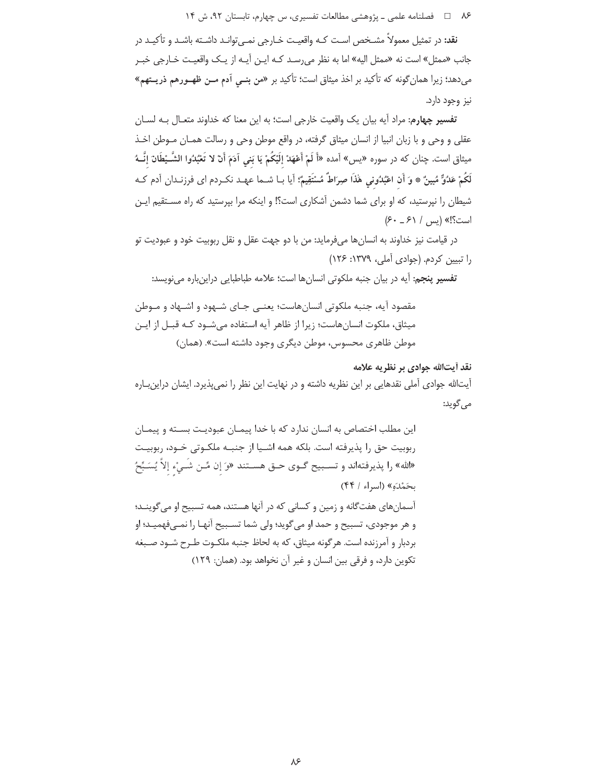۸۶ = 1 فصلنامه علمی ـ یژوهشی مطالعات تفسیری، س چهارم، تابستان ۹۲، ش ۱۴

**نقد:** در تمثیل معمولاً مشـخص اسـت کـه واقعیـت خـارجی نمـی توانـد داشـته باشـد و تأکیـد در جانب «ممثل» است نه «ممثل اليه» اما به نظر می رسـد کـه ايـن آيـه از يـک واقعيـت خـارجي خبـر میدهد؛ زیرا همان گونه که تأکید بر اخذ میثاق است؛ تأکید بر «من بنــی آدم مــن ظهــورهم ذریــتهم» نيز وجود دارد.

تفسیر چهارم: مراد آیه بیان یک واقعیت خارجی است؛ به این معنا که خداوند متعـال بـه لسـان عقلی و وحی و با زبان انبیا از انسان میثاق گرفته، در واقع موطن وحی و رسالت همـان مـوطن اخـذ ميثاق است. چنان كه در سوره «يس» آمده «أَ لَمْ أَعْهَدْ إِلَيْكُمْ يَا بَني آدَمَ أَنْ لا تَعْبُدُوا الشَّـيْطَانَ إنَّــهُ لَكُمْ عَدُوٌّ مُبِينٌ ۞ وَ أَن اعْبُدُوني هَٰذَا صِرَاطٌ مُسْتَقِيمٌ؛ أيا بـا شـما عهـد نكــردم اي فرزنـدان أدم كــه شیطان را نپرستید، که او برای شما دشمن آشکاری است؟! و اینکه مرا بپرستید که راه مستقیم ایـن  $(5 - 5) /$ بست؟!» (بس / ۶۱ \_ ۶۰

در قیامت نیز خداوند به انسانها میفرماید: من با دو جهت عقل و نقل ربوبیت خود و عبودیت تو را تبيين كردم. (جوادي آملي، ١٣٧٩: ١٢۶)

**تفسیر پنجم:** آیه در بیان جنبه ملکوتی انسانها است؛ علامه طباطبایی دراینباره می نویسد:

مقصود آيه، جنبه ملكوتي انسانهاست؛ يعنـي جـاي شـهود و اشـهاد و مـوطن میثاق، ملکوت انسانهاست؛ زیرا از ظاهر آیه استفاده می شـود کـه قبـل از ایـن موطن ظاهري محسوس، موطن ديگري وجود داشته است». (همان)

نقد أيتالله جوادي بر نظريه علامه

آیتالله جوادی آملی نقدهایی بر این نظریه داشته و در نهایت این نظر را نمی پذیرد. ایشان دراین بـاره می گوید:

این مطلب اختصاص به انسان ندارد که با خدا پیمـان عبودیـت بسـته و پیمـان ربوبيت حق را پذيرفته است. بلكه همه اشـيا از جنبــه ملكــوتي خــود، ربوبيـت «الله» را پذيرفتهاند و تسـبيح گــوي حــق هســتند «وَ إن مِّـن شَــِيْء إلاّ يُسَـبِّحُ بِحَمْلِدَهِ» (اسراء / ۴۴) آسمانهای هفتگانه و زمین و کسانی که در آنها هستند، همه تسبیح او می گوینــد؛ و هر موجودي، تسبيح و حمد او مي گويد؛ ولي شما تسـبيح آنهـا را نمـي فهميــد؛ او بردبار و آمرزنده است. هرگونه میثاق، که به لحاظ جنبه ملکـوت طـرح شـود صـبغه تكوين دارد، و فرقي بين انسان و غير آن نخواهد بود. (همان: ١٢٩)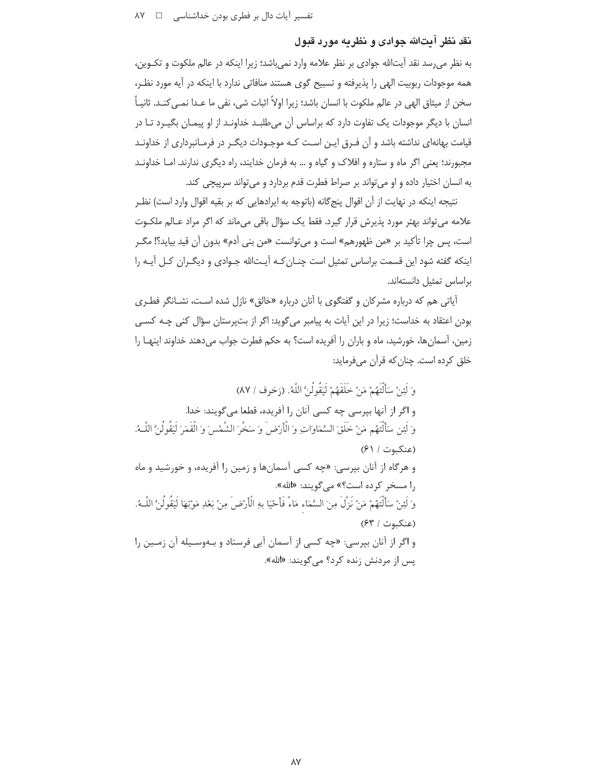تفسیر آیات دال بر فطری بودن خداشناسی D XY

### نقد نظر آیتالله جوادی و نظریه مورد قبول

به نظر می٫سد نقد اَیتالله جوادی بر نظر علامه وارد نمی٬اشد؛ زیرا اینکه در عالم ملکوت و تکـوین، همه موجودات ربوبیت الهی را پذیرفته و تسبیح گوی هستند منافاتی ندارد با اینکه در آیه مورد نظـر، سخن از میثاق الهی در عالم ملکوت با انسان باشد؛ زیرا اولاً اثبات شی، نفی ما عـدا نمـی کنـد. ثانیــاً انسان با دیگر موجودات یک تفاوت دارد که براساس آن میطلبـد خداونـد از او پیمـان بگیـرد تـا در قیامت بهانهای نداشته باشد و آن فـرق ایـن اسـت کـه موجـودات دیگـر در فرمـانبرداری از خداونـد مجبورند؛ یعنی اگر ماه و ستاره و افلاک و گیاه و … به فرمان خدایند، راه دیگری ندارند. امـا خداونـد به انسان اختیار داده و او می تواند بر صراط فطرت قدم بردارد و می تواند سرپیچی کند.

نتيجه اينكه در نهايت از آن اقوال پنج¢انه (باتوجه به ايرادهايي كه بر بقيه اقوال وارد است) نظـر علامه می تواند بهتر مورد پذیرش قرار گیرد. فقط یک سؤال باقی میماند که اگر مراد عـالم ملکـوت است، پس چرا تأكيد بر «من ظهورهم» است و مي توانست «من بني آدم» بدون آن قيد بيايد؟! مگـر اینکه گفته شود این قسمت براساس تمثیل است چنـان کـه آیـتالله جـوادی و دیگـران کـل آیـه را براساس تمثيل دانستهاند.

آیاتی هم که درباره مشرکان و گفتگوی با آنان درباره «خالق» نازل شده است، نشـانگر فطـری بودن اعتقاد به خداست؛ زیرا در این آیات به پیامبر می گوید: اگر از بتپرستان سؤال کنی چـه کســی زمین، آسمانها، خورشید، ماه و باران را آفریده است؟ به حکم فطرت جواب میدهند خداوند اینهـا را خلق کردہ است. چنان که قرآن مے فرماید: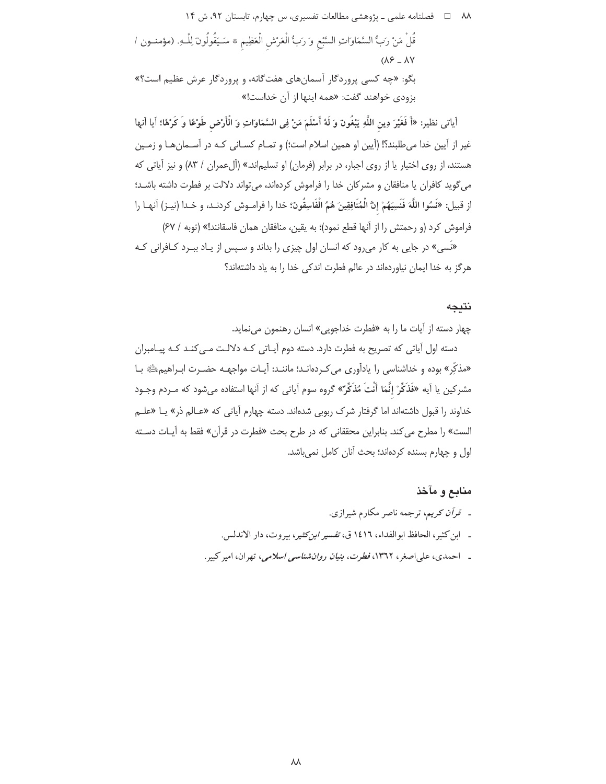٨٨ = د فصلنامه علمي ـ پژوهشي مطالعات تفسيري، س چهارم، تابستان ٩٢، ش ١۴

قُلْ مَنْ رَبُّ السَّمَاوَاتِ السَّبْعِ وَ رَبُّ الْعَرْشِ الْعَظِيمِ \* سَـيَقُولُونَ لِلَّـهِ. (مؤمنــون /  $(\lambda \xi - \lambda V)$ بگو: «چه کسی پروردگار آسمانهای هفتگانه، و پروردگار عرش عظیم است؟» بزودي خواهند گفت: «همه اينها از آن خداست!»

آياتى نظير: «أَ فَغَيْرَ دِين اللَّهِ يَبْغُونَ وَ لَهُ أَسْلَمَ مَنْ فِى السَّمَاوَاتِ وَ الْأَرْض طَوْعًا وَ كَرْهَا؛ آيا آنها غیر از آیین خدا میطلبند؟! (آیین او همین اسلام است؛) و تمـام کسـانی کـه در آسـمانِهـا و زمـین هستند، از روی اختیار یا از روی اجبار، در برابر (فرمان) او تسلیماند.» (آل عمران / ۸۳) و نیز آیاتی که می گوید کافران یا منافقان و مشرکان خدا را فراموش کردهاند، می تواند دلالت بر فطرت داشته باشــد؛ از قبيل: «نَسُوا اللَّهَ فَنَسِيَهُمْ إِنَّ الْمُنَافِقِينَ هُمُ الْفَاسِقُونَ؛ خدا را فرامـوش كردنـد، و خـدا (نيـز) آنهـا را فراموش كرد (و رحمتش را از آنها قطع نمود)؛ به يقين، منافقان همان فاسقانند!» (توبه / ۶۷) «نَسى» در جايي به كار مىرود كه انسان اول چيزى را بداند و سـپس از يـاد ببـرد كـافرانى كـه هر گز به خدا ایمان نیاوردهاند در عالم فطرت اندکی خدا را به یاد داشتهاند؟

#### نتىجە

چهار دسته از آیات ما را به «فطرت خداجویی» انسان رهنمون مینماید.

دسته اول آیاتی که تصریح به فطرت دارد. دسته دوم آیـاتی کـه دلالـت مـی کنـد کـه پیـامبران «مذكِّر» بوده و خداشناسي را يادآوري مي كـردهانـد؛ ماننـد: آيـات مواجهـه حضـرت ابـراهيمكُ» بـا مشركين يا آيه «فَذَكِّرٌ إنَّمَا أَنْتَ مُذَكِّرٌ» گروه سوم آياتي كه از آنها استفاده ميشود كه مـردم وجـود خداوند را قبول داشتهاند اما گرفتار شرک ربوبی شدهاند. دسته چهارم آیاتی که «عـالم ذر» یـا «علـم الست» را مطرح می کند. بنابراین محققانی که در طرح بحث «فطرت در قرآن» فقط به آیـات دسـته اول و چهارم بسنده كردهاند؛ بحث آنان كامل نمى باشد.

#### منابع و مآخذ

ـ قر*آن کریم*، ترجمه ناصر مکارم شیرازی. ـ ابن كثير، الحافظ ابوالفداء، ١٤١٦ ق، تفسير *ابن كثير*، بيروت، دار الاندلس. \_ احمدي، علي اصغر، ١٣٦٢، فطرت، بني*ان روان شناسي اسلامي*، تهران، امير كبير.